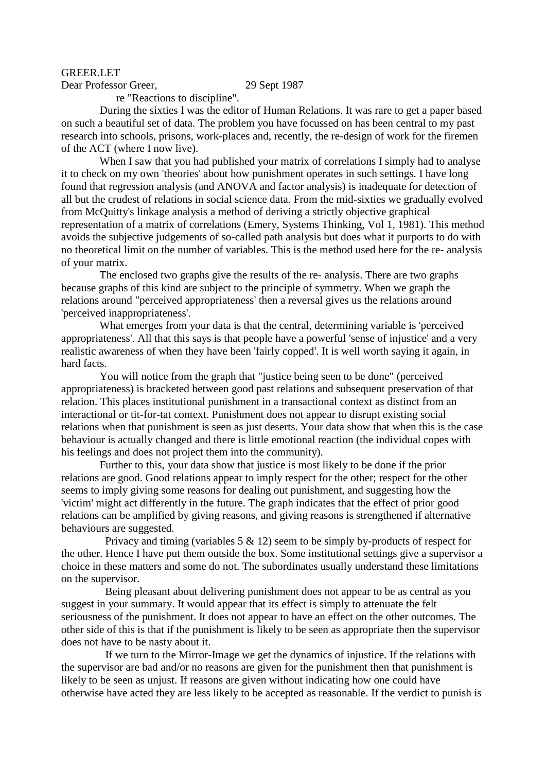## GREER.LET

Dear Professor Greer, 29 Sept 1987

re "Reactions to discipline".

 During the sixties I was the editor of Human Relations. It was rare to get a paper based on such a beautiful set of data. The problem you have focussed on has been central to my past research into schools, prisons, work-places and, recently, the re-design of work for the firemen of the ACT (where I now live).

When I saw that you had published your matrix of correlations I simply had to analyse it to check on my own 'theories' about how punishment operates in such settings. I have long found that regression analysis (and ANOVA and factor analysis) is inadequate for detection of all but the crudest of relations in social science data. From the mid-sixties we gradually evolved from McQuitty's linkage analysis a method of deriving a strictly objective graphical representation of a matrix of correlations (Emery, Systems Thinking, Vol 1, 1981). This method avoids the subjective judgements of so-called path analysis but does what it purports to do with no theoretical limit on the number of variables. This is the method used here for the re- analysis of your matrix.

 The enclosed two graphs give the results of the re- analysis. There are two graphs because graphs of this kind are subject to the principle of symmetry. When we graph the relations around "perceived appropriateness' then a reversal gives us the relations around 'perceived inappropriateness'.

 What emerges from your data is that the central, determining variable is 'perceived appropriateness'. All that this says is that people have a powerful 'sense of injustice' and a very realistic awareness of when they have been 'fairly copped'. It is well worth saying it again, in hard facts.

 You will notice from the graph that "justice being seen to be done" (perceived appropriateness) is bracketed between good past relations and subsequent preservation of that relation. This places institutional punishment in a transactional context as distinct from an interactional or tit-for-tat context. Punishment does not appear to disrupt existing social relations when that punishment is seen as just deserts. Your data show that when this is the case behaviour is actually changed and there is little emotional reaction (the individual copes with his feelings and does not project them into the community).

 Further to this, your data show that justice is most likely to be done if the prior relations are good. Good relations appear to imply respect for the other; respect for the other seems to imply giving some reasons for dealing out punishment, and suggesting how the 'victim' might act differently in the future. The graph indicates that the effect of prior good relations can be amplified by giving reasons, and giving reasons is strengthened if alternative behaviours are suggested.

Privacy and timing (variables  $5 \& 12$ ) seem to be simply by-products of respect for the other. Hence I have put them outside the box. Some institutional settings give a supervisor a choice in these matters and some do not. The subordinates usually understand these limitations on the supervisor.

 Being pleasant about delivering punishment does not appear to be as central as you suggest in your summary. It would appear that its effect is simply to attenuate the felt seriousness of the punishment. It does not appear to have an effect on the other outcomes. The other side of this is that if the punishment is likely to be seen as appropriate then the supervisor does not have to be nasty about it.

 If we turn to the Mirror-Image we get the dynamics of injustice. If the relations with the supervisor are bad and/or no reasons are given for the punishment then that punishment is likely to be seen as unjust. If reasons are given without indicating how one could have otherwise have acted they are less likely to be accepted as reasonable. If the verdict to punish is